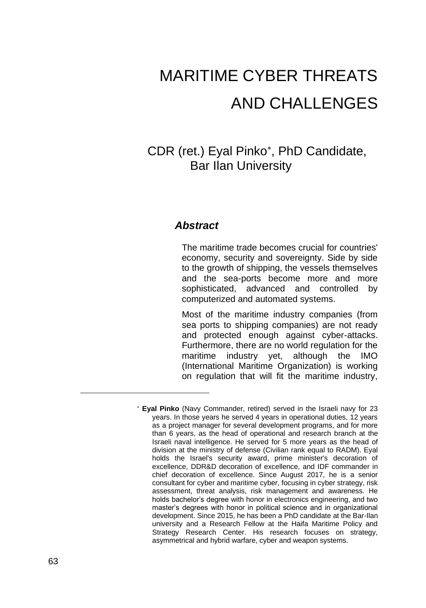# MARITIME CYBER THREATS AND CHALLENGES

CDR (ret.) Eyal Pinko\*, PhD Candidate, Bar Ilan University

## *Abstract*

The maritime trade becomes crucial for countries' economy, security and sovereignty. Side by side to the growth of shipping, the vessels themselves and the sea-ports become more and more sophisticated, advanced and controlled by computerized and automated systems.

Most of the maritime industry companies (from sea ports to shipping companies) are not ready and protected enough against cyber-attacks. Furthermore, there are no world regulation for the maritime industry yet, although the IMO (International Maritime Organization) is working on regulation that will fit the maritime industry,

**Eyal Pinko** (Navy Commander, retired) served in the Israeli navy for 23 years. In those years he served 4 years in operational duties, 12 years as a project manager for several development programs, and for more than 6 years, as the head of operational and research branch at the Israeli naval intelligence. He served for 5 more years as the head of division at the ministry of defense (Civilian rank equal to RADM). Eyal holds the Israel's security award, prime minister's decoration of excellence, DDR&D decoration of excellence, and IDF commander in chief decoration of excellence. Since August 2017, he is a senior consultant for cyber and maritime cyber, focusing in cyber strategy, risk assessment, threat analysis, risk management and awareness. He holds bachelor's degree with honor in electronics engineering, and two master's degrees with honor in political science and in organizational development. Since 2015, he has been a PhD candidate at the Bar-Ilan university and a Research Fellow at the Haifa Maritime Policy and Strategy Research Center. His research focuses on strategy, asymmetrical and hybrid warfare, cyber and weapon systems.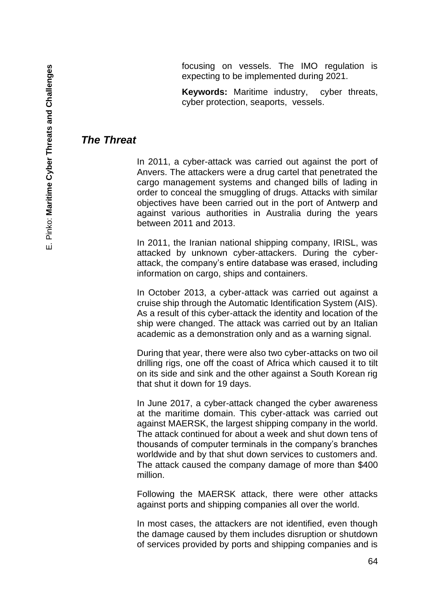focusing on vessels. The IMO regulation is expecting to be implemented during 2021.

**Keywords:** Maritime industry, cyber threats, cyber protection, seaports, vessels.

## *The Threat*

In 2011, a cyber-attack was carried out against the port of Anvers. The attackers were a drug cartel that penetrated the cargo management systems and changed bills of lading in order to conceal the smuggling of drugs. Attacks with similar objectives have been carried out in the port of Antwerp and against various authorities in Australia during the years between 2011 and 2013.

In 2011, the Iranian national shipping company, IRISL, was attacked by unknown cyber-attackers. During the cyberattack, the company's entire database was erased, including information on cargo, ships and containers.

In October 2013, a cyber-attack was carried out against a cruise ship through the Automatic Identification System (AIS). As a result of this cyber-attack the identity and location of the ship were changed. The attack was carried out by an Italian academic as a demonstration only and as a warning signal.

During that year, there were also two cyber-attacks on two oil drilling rigs, one off the coast of Africa which caused it to tilt on its side and sink and the other against a South Korean rig that shut it down for 19 days.

In June 2017, a cyber-attack changed the cyber awareness at the maritime domain. This cyber-attack was carried out against MAERSK, the largest shipping company in the world. The attack continued for about a week and shut down tens of thousands of computer terminals in the company's branches worldwide and by that shut down services to customers and. The attack caused the company damage of more than \$400 million.

Following the MAERSK attack, there were other attacks against ports and shipping companies all over the world.

In most cases, the attackers are not identified, even though the damage caused by them includes disruption or shutdown of services provided by ports and shipping companies and is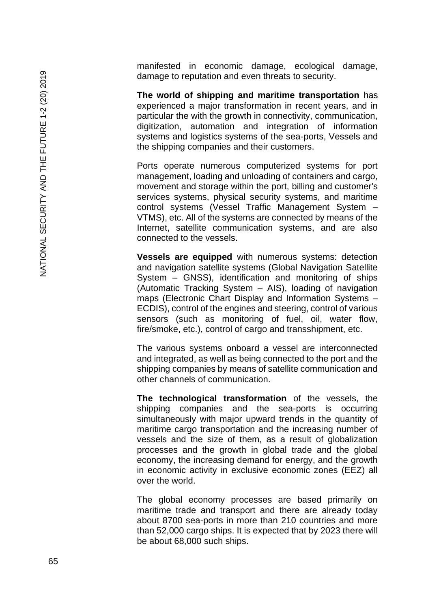manifested in economic damage, ecological damage, damage to reputation and even threats to security.

**The world of shipping and maritime transportation** has experienced a major transformation in recent years, and in particular the with the growth in connectivity, communication, digitization, automation and integration of information systems and logistics systems of the sea -ports, Vessels and the shipping companies and their customers.

Ports operate numerous computerized systems for port management, loading and unloading of containers and cargo, movement and storage within the port, billing and customer's services systems, physical security systems, and maritime control systems (Vessel Traffic Management System – VTMS), etc. All of the systems are connected by means of the Internet, satellite communication systems, and are also connected to the vessels.

**Vessels are equipped** with numerous systems: detection and navigation satellite systems (Global Navigation Satellite System – GNSS), identification and monitoring of ships (Automatic Tracking System – AIS), loading of navigation maps (Electronic Chart Display and Information Systems – ECDIS), control of the engines and steering, control of various sensors (such as monitoring of fuel, oil, water flow, fire/smoke, etc.), control of cargo and transshipment, etc.

The various systems onboard a vessel are interconnected and integrated, as well as being connected to the port and the shipping companies by means of satellite communication and other channels of communication.

**The technological transformation** of the vessels, the shipping companies and the sea -ports is occurring simultaneously with major upward trends in the quantity of maritime cargo transportation and the increasing number of vessels and the size of them, as a result of globalization processes and the growth in global trade and the global economy, the increasing demand for energy, and the growth in economic activity in exclusive economic zones (EEZ) all over the world.

The global economy processes are based primarily on maritime trade and transport and there are already today about 8700 sea -ports in more than 210 countries and more than 52,000 cargo ships. It is expected that by 2023 there will be about 68,000 such ships.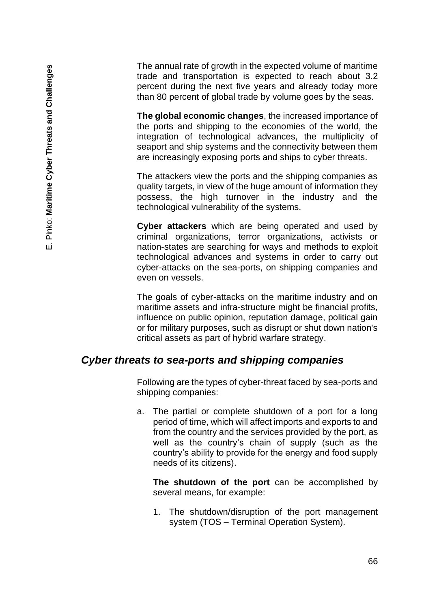The annual rate of growth in the expected volume of maritime trade and transportation is expected to reach about 3.2 percent during the next five years and already today more than 80 percent of global trade by volume goes by the seas.

**The global economic changes**, the increased importance of the ports and shipping to the economies of the world, the integration of technological advances, the multiplicity of seaport and ship systems and the connectivity between them are increasingly exposing ports and ships to cyber threats.

The attackers view the ports and the shipping companies as quality targets, in view of the huge amount of information they possess, the high turnover in the industry and the technological vulnerability of the systems.

**Cyber attackers** which are being operated and used by criminal organizations, terror organizations, activists or nation-states are searching for ways and methods to exploit technological advances and systems in order to carry out cyber-attacks on the sea-ports, on shipping companies and even on vessels.

The goals of cyber-attacks on the maritime industry and on maritime assets and infra-structure might be financial profits, influence on public opinion, reputation damage, political gain or for military purposes, such as disrupt or shut down nation's critical assets as part of hybrid warfare strategy.

#### *Cyber threats to sea-ports and shipping companies*

Following are the types of cyber-threat faced by sea-ports and shipping companies:

a. The partial or complete shutdown of a port for a long period of time, which will affect imports and exports to and from the country and the services provided by the port, as well as the country's chain of supply (such as the country's ability to provide for the energy and food supply needs of its citizens).

**The shutdown of the port** can be accomplished by several means, for example:

1. The shutdown/disruption of the port management system (TOS – Terminal Operation System).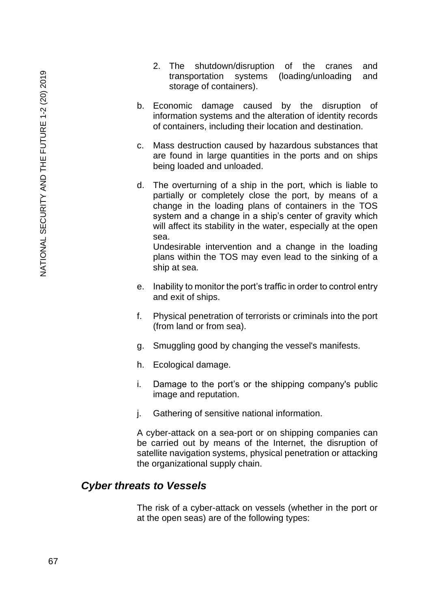- 2. The shutdown/disruption of the cranes and transportation systems (loading/unloading and storage of containers).
- b. Economic damage caused by the disruption of information systems and the alteration of identity records of containers, including their location and destination.
- c. Mass destruction caused by hazardous substances that are found in large quantities in the ports and on ships being loaded and unloaded.
- d. The overturning of a ship in the port, which is liable to partially or completely close the port, by means of a change in the loading plans of containers in the TOS system and a change in a ship's center of gravity which will affect its stability in the water, especially at the open sea.

Undesirable intervention and a change in the loading plans within the TOS may even lead to the sinking of a ship at sea.

- e. Inability to monitor the port's traffic in order to control entry and exit of ships.
- f. Physical penetration of terrorists or criminals into the port (from land or from sea).
- g. Smuggling good by changing the vessel's manifests.
- h. Ecological damage.
- i. Damage to the port's or the shipping company's public image and reputation.
- j. Gathering of sensitive national information.

A cyber-attack on a sea-port or on shipping companies can be carried out by means of the Internet, the disruption of satellite navigation systems, physical penetration or attacking the organizational supply chain.

## *Cyber threats to Vessels*

The risk of a cyber-attack on vessels (whether in the port or at the open seas) are of the following types: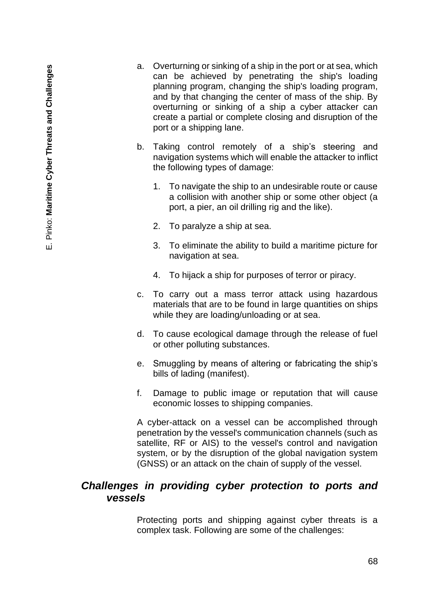- a. Overturning or sinking of a ship in the port or at sea, which can be achieved by penetrating the ship's loading planning program, changing the ship's loading program, and by that changing the center of mass of the ship. By overturning or sinking of a ship a cyber attacker can create a partial or complete closing and disruption of the port or a shipping lane.
- b. Taking control remotely of a ship's steering and navigation systems which will enable the attacker to inflict the following types of damage:
	- 1. To navigate the ship to an undesirable route or cause a collision with another ship or some other object (a port, a pier, an oil drilling rig and the like).
	- 2. To paralyze a ship at sea.
	- 3. To eliminate the ability to build a maritime picture for navigation at sea.
	- 4. To hijack a ship for purposes of terror or piracy.
- c. To carry out a mass terror attack using hazardous materials that are to be found in large quantities on ships while they are loading/unloading or at sea.
- d. To cause ecological damage through the release of fuel or other polluting substances.
- e. Smuggling by means of altering or fabricating the ship's bills of lading (manifest).
- f. Damage to public image or reputation that will cause economic losses to shipping companies.

A cyber-attack on a vessel can be accomplished through penetration by the vessel's communication channels (such as satellite, RF or AIS) to the vessel's control and navigation system, or by the disruption of the global navigation system (GNSS) or an attack on the chain of supply of the vessel.

# *Challenges in providing cyber protection to ports and vessels*

Protecting ports and shipping against cyber threats is a complex task. Following are some of the challenges: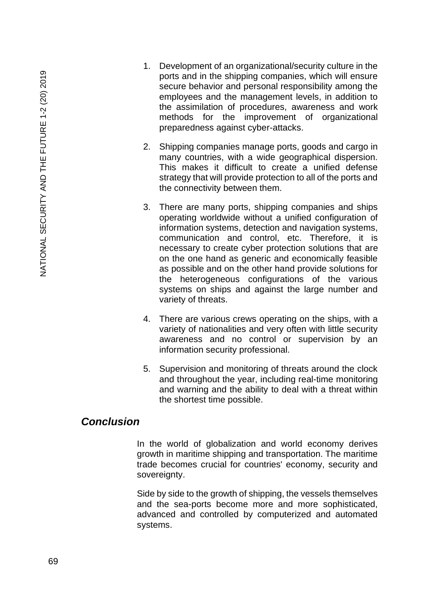- 1. Development of an organizational/security culture in the ports and in the shipping companies, which will ensure secure behavior and personal responsibility among the employees and the management levels, in addition to the assimilation of procedures, awareness and work methods for the improvement of organizational preparedness against cyber-attacks.
- 2. Shipping companies manage ports, goods and cargo in many countries, with a wide geographical dispersion. This makes it difficult to create a unified defense strategy that will provide protection to all of the ports and the connectivity between them.
- 3. There are many ports, shipping companies and ships operating worldwide without a unified configuration of information systems, detection and navigation systems, communication and control, etc. Therefore, it is necessary to create cyber protection solutions that are on the one hand as generic and economically feasible as possible and on the other hand provide solutions for the heterogeneous configurations of the various systems on ships and against the large number and variety of threats.
- 4. There are various crews operating on the ships, with a variety of nationalities and very often with little security awareness and no control or supervision by an information security professional.
- 5. Supervision and monitoring of threats around the clock and throughout the year, including real-time monitoring and warning and the ability to deal with a threat within the shortest time possible.

## *Conclusion*

In the world of globalization and world economy derives growth in maritime shipping and transportation. The maritime trade becomes crucial for countries' economy, security and sovereignty.

Side by side to the growth of shipping, the vessels themselves and the sea-ports become more and more sophisticated, advanced and controlled by computerized and automated systems.